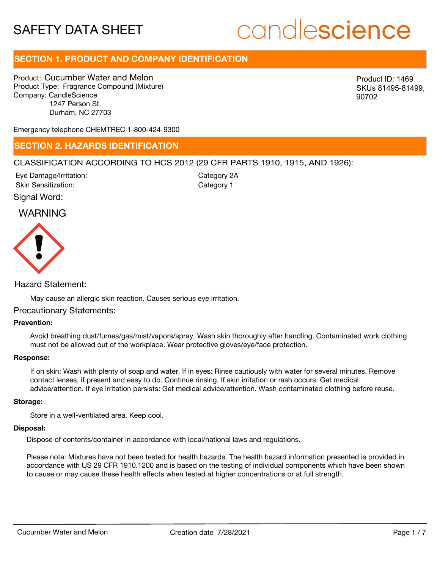# candlescience

# **SECTION 1. PRODUCT AND COMPANY IDENTIFICATION**

Product: Cucumber Water and Melon Product Type: Fragrance Compound (Mixture) Company: CandleScience 1247 Person St. Durham, NC 27703

Product ID: 1469 SKUs 81495-81499, 90702

Emergency telephone CHEMTREC 1-800-424-9300

### **SECTION 2. HAZARDS IDENTIFICATION**

### CLASSIFICATION ACCORDING TO HCS 2012 (29 CFR PARTS 1910, 1915, AND 1926):

Signal Word: Eye Damage/Irritation: Skin Sensitization:

Category 2A Category 1

# WARNING



Hazard Statement:

May cause an allergic skin reaction. Causes serious eye irritation.

### Precautionary Statements:

### **Prevention:**

Avoid breathing dust/fumes/gas/mist/vapors/spray. Wash skin thoroughly after handling. Contaminated work clothing must not be allowed out of the workplace. Wear protective gloves/eye/face protection.

#### **Response:**

If on skin: Wash with plenty of soap and water. If in eyes: Rinse cautiously with water for several minutes. Remove contact lenses, if present and easy to do. Continue rinsing. If skin irritation or rash occurs: Get medical advice/attention. If eye irritation persists: Get medical advice/attention. Wash contaminated clothing before reuse.

### **Storage:**

Store in a well-ventilated area. Keep cool.

### **Disposal:**

Dispose of contents/container in accordance with local/national laws and regulations.

Please note: Mixtures have not been tested for health hazards. The health hazard information presented is provided in accordance with US 29 CFR 1910.1200 and is based on the testing of individual components which have been shown to cause or may cause these health effects when tested at higher concentrations or at full strength.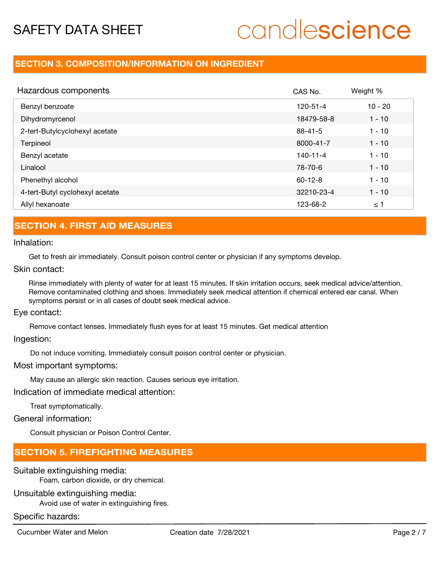# candlescience

### **SECTION 3. COMPOSITION/INFORMATION ON INGREDIENT**

| Hazardous components            | CAS No.        | Weight %  |
|---------------------------------|----------------|-----------|
| Benzyl benzoate                 | $120 - 51 - 4$ | $10 - 20$ |
| Dihydromyrcenol                 | 18479-58-8     | $1 - 10$  |
| 2-tert-Butylcyclohexyl acetate  | $88 - 41 - 5$  | $1 - 10$  |
| Terpineol                       | 8000-41-7      | $1 - 10$  |
| Benzyl acetate                  | $140 - 11 - 4$ | $1 - 10$  |
| Linalool                        | 78-70-6        | $1 - 10$  |
| Phenethyl alcohol               | $60 - 12 - 8$  | $1 - 10$  |
| 4-tert-Butyl cyclohexyl acetate | 32210-23-4     | $1 - 10$  |
| Allyl hexanoate                 | 123-68-2       | $\leq$ 1  |

## **SECTION 4. FIRST AID MEASURES**

Inhalation:

Get to fresh air immediately. Consult poison control center or physician if any symptoms develop.

Skin contact:

Rinse immediately with plenty of water for at least 15 minutes. If skin irritation occurs, seek medical advice/attention. Remove contaminated clothing and shoes. Immediately seek medical attention if chemical entered ear canal. When symptoms persist or in all cases of doubt seek medical advice.

Eye contact:

Remove contact lenses. Immediately flush eyes for at least 15 minutes. Get medical attention

Ingestion:

Do not induce vomiting. Immediately consult poison control center or physician.

Most important symptoms:

May cause an allergic skin reaction. Causes serious eye irritation.

Indication of immediate medical attention:

Treat symptomatically.

General information:

Consult physician or Poison Control Center.

## **SECTION 5. FIREFIGHTING MEASURES**

### Suitable extinguishing media:

Foam, carbon dioxide, or dry chemical.

### Unsuitable extinguishing media:

Avoid use of water in extinguishing fires.

### Specific hazards:

Cucumber Water and Melon Creation date 7/28/2021 Page 2 / 7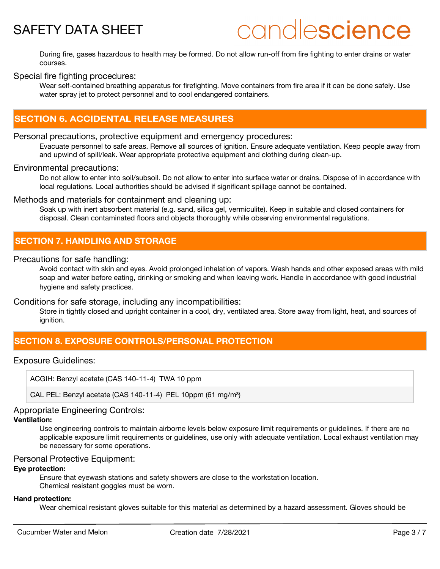# candlescience

During fire, gases hazardous to health may be formed. Do not allow run-off from fire fighting to enter drains or water courses.

### Special fire fighting procedures:

Wear self-contained breathing apparatus for firefighting. Move containers from fire area if it can be done safely. Use water spray jet to protect personnel and to cool endangered containers.

# **SECTION 6. ACCIDENTAL RELEASE MEASURES**

### Personal precautions, protective equipment and emergency procedures:

Evacuate personnel to safe areas. Remove all sources of ignition. Ensure adequate ventilation. Keep people away from and upwind of spill/leak. Wear appropriate protective equipment and clothing during clean-up.

### Environmental precautions:

Do not allow to enter into soil/subsoil. Do not allow to enter into surface water or drains. Dispose of in accordance with local regulations. Local authorities should be advised if significant spillage cannot be contained.

### Methods and materials for containment and cleaning up:

Soak up with inert absorbent material (e.g. sand, silica gel, vermiculite). Keep in suitable and closed containers for disposal. Clean contaminated floors and objects thoroughly while observing environmental regulations.

### **SECTION 7. HANDLING AND STORAGE**

### Precautions for safe handling:

Avoid contact with skin and eyes. Avoid prolonged inhalation of vapors. Wash hands and other exposed areas with mild soap and water before eating, drinking or smoking and when leaving work. Handle in accordance with good industrial hygiene and safety practices.

### Conditions for safe storage, including any incompatibilities:

Store in tightly closed and upright container in a cool, dry, ventilated area. Store away from light, heat, and sources of ignition.

# **SECTION 8. EXPOSURE CONTROLS/PERSONAL PROTECTION**

### Exposure Guidelines:

ACGIH: Benzyl acetate (CAS 140-11-4) TWA 10 ppm

CAL PEL: Benzyl acetate (CAS 140-11-4) PEL 10ppm (61 mg/m<sup>3</sup>)

### Appropriate Engineering Controls:

### **Ventilation:**

Use engineering controls to maintain airborne levels below exposure limit requirements or guidelines. If there are no applicable exposure limit requirements or guidelines, use only with adequate ventilation. Local exhaust ventilation may be necessary for some operations.

### Personal Protective Equipment:

### **Eye protection:**

Ensure that eyewash stations and safety showers are close to the workstation location. Chemical resistant goggles must be worn.

#### **Hand protection:**

Wear chemical resistant gloves suitable for this material as determined by a hazard assessment. Gloves should be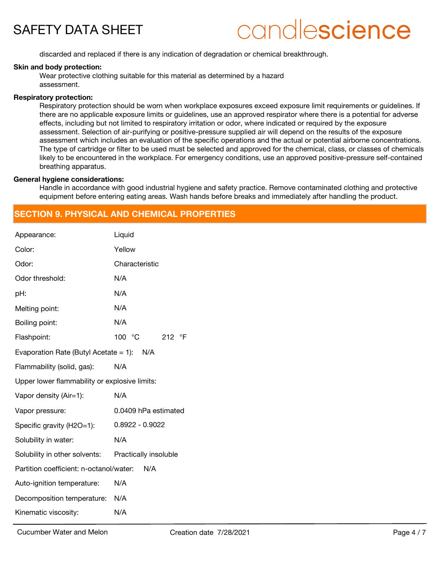# candlescience

discarded and replaced if there is any indication of degradation or chemical breakthrough.

### **Skin and body protection:**

Wear protective clothing suitable for this material as determined by a hazard assessment.

### **Respiratory protection:**

Respiratory protection should be worn when workplace exposures exceed exposure limit requirements or guidelines. If there are no applicable exposure limits or guidelines, use an approved respirator where there is a potential for adverse effects, including but not limited to respiratory irritation or odor, where indicated or required by the exposure assessment. Selection of air-purifying or positive-pressure supplied air will depend on the results of the exposure assessment which includes an evaluation of the specific operations and the actual or potential airborne concentrations. The type of cartridge or filter to be used must be selected and approved for the chemical, class, or classes of chemicals likely to be encountered in the workplace. For emergency conditions, use an approved positive-pressure self-contained breathing apparatus.

### **General hygiene considerations:**

Handle in accordance with good industrial hygiene and safety practice. Remove contaminated clothing and protective equipment before entering eating areas. Wash hands before breaks and immediately after handling the product.

## **SECTION 9. PHYSICAL AND CHEMICAL PROPERTIES**

| Appearance:                                         | Liquid                    |
|-----------------------------------------------------|---------------------------|
| Color:                                              | Yellow                    |
| Odor:                                               | Characteristic            |
| Odor threshold:                                     | N/A                       |
| pH:                                                 | N/A                       |
| Melting point:                                      | N/A                       |
| Boiling point:                                      | N/A                       |
| Flashpoint:                                         | 100 °C<br>212 $\degree$ F |
| Evaporation Rate (Butyl Acetate = 1): $N/A$         |                           |
| Flammability (solid, gas):                          | N/A                       |
| Upper lower flammability or explosive limits:       |                           |
| Vapor density (Air=1):                              | N/A                       |
| Vapor pressure:                                     | 0.0409 hPa estimated      |
| Specific gravity (H2O=1):                           | $0.8922 - 0.9022$         |
| Solubility in water:                                | N/A                       |
| Solubility in other solvents: Practically insoluble |                           |
| Partition coefficient: n-octanol/water:             | N/A                       |
| Auto-ignition temperature:                          | N/A                       |
| Decomposition temperature:                          | N/A                       |
| Kinematic viscosity:                                | N/A                       |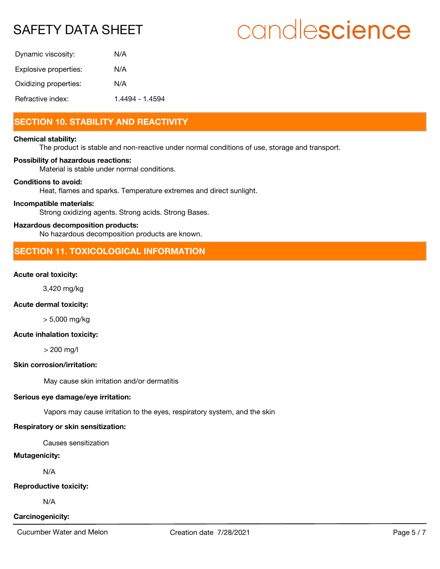# candlescience

| Dynamic viscosity:    | N/A             |
|-----------------------|-----------------|
| Explosive properties: | N/A             |
| Oxidizing properties: | N/A             |
| Refractive index:     | 1.4494 - 1.4594 |

# **SECTION 10. STABILITY AND REACTIVITY**

#### **Chemical stability:**

The product is stable and non-reactive under normal conditions of use, storage and transport.

### **Possibility of hazardous reactions:**

Material is stable under normal conditions.

### **Conditions to avoid:**

Heat, flames and sparks. Temperature extremes and direct sunlight.

### **Incompatible materials:**

Strong oxidizing agents. Strong acids. Strong Bases.

### **Hazardous decomposition products:**

No hazardous decomposition products are known.

# **SECTION 11. TOXICOLOGICAL INFORMATION**

### **Acute oral toxicity:**

3,420 mg/kg

### **Acute dermal toxicity:**

> 5,000 mg/kg

### **Acute inhalation toxicity:**

> 200 mg/l

### **Skin corrosion/irritation:**

May cause skin irritation and/or dermatitis

### **Serious eye damage/eye irritation:**

Vapors may cause irritation to the eyes, respiratory system, and the skin

### **Respiratory or skin sensitization:**

Causes sensitization

### **Mutagenicity:**

N/A

### **Reproductive toxicity:**

N/A

### **Carcinogenicity:**

Cucumber Water and Melon Creation date 7/28/2021 Cucumber Water and Melon Creation date 7/28/2021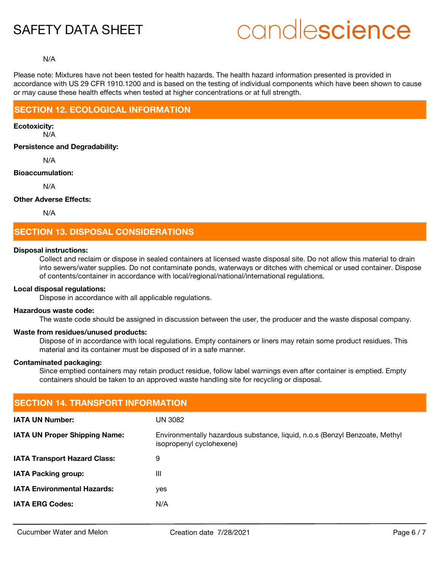# candlescience

### N/A

Please note: Mixtures have not been tested for health hazards. The health hazard information presented is provided in accordance with US 29 CFR 1910.1200 and is based on the testing of individual components which have been shown to cause or may cause these health effects when tested at higher concentrations or at full strength.

### **SECTION 12. ECOLOGICAL INFORMATION**

**Ecotoxicity:**

N/A

**Persistence and Degradability:**

N/A

### **Bioaccumulation:**

N/A

### **Other Adverse Effects:**

N/A

## **SECTION 13. DISPOSAL CONSIDERATIONS**

### **Disposal instructions:**

Collect and reclaim or dispose in sealed containers at licensed waste disposal site. Do not allow this material to drain into sewers/water supplies. Do not contaminate ponds, waterways or ditches with chemical or used container. Dispose of contents/container in accordance with local/regional/national/international regulations.

### **Local disposal regulations:**

Dispose in accordance with all applicable regulations.

#### **Hazardous waste code:**

The waste code should be assigned in discussion between the user, the producer and the waste disposal company.

### **Waste from residues/unused products:**

Dispose of in accordance with local regulations. Empty containers or liners may retain some product residues. This material and its container must be disposed of in a safe manner.

#### **Contaminated packaging:**

Since emptied containers may retain product residue, follow label warnings even after container is emptied. Empty containers should be taken to an approved waste handling site for recycling or disposal.

| <b>SECTION 14. TRANSPORT INFORMATION</b>                                                                |  |  |
|---------------------------------------------------------------------------------------------------------|--|--|
| UN 3082                                                                                                 |  |  |
| Environmentally hazardous substance, liquid, n.o.s (Benzyl Benzoate, Methyl<br>isopropenyl cyclohexene) |  |  |
| 9                                                                                                       |  |  |
| Ш                                                                                                       |  |  |
| yes                                                                                                     |  |  |
| N/A                                                                                                     |  |  |
|                                                                                                         |  |  |